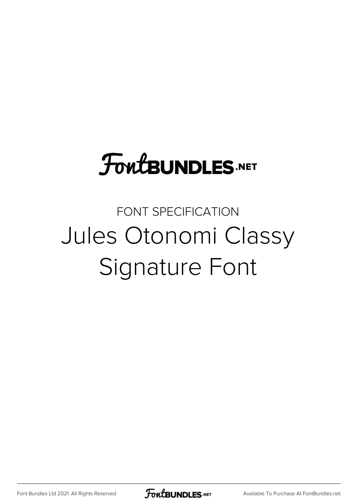# **FoutBUNDLES.NET**

## FONT SPECIFICATION Jules Otonomi Classy Signature Font

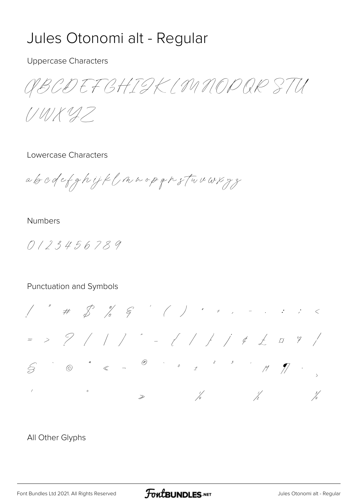## Jules Otonomi alt - Regular

#### **Uppercase Characters**

ABCDEF GHIGK (MNODOR STU

 $1/4/11/47$ 

#### Lowercase Characters

abodefghijklmnopgnstwuwxyz

#### **Numbers**

 $0123456789$ 

#### Punctuation and Symbols



#### All Other Glyphs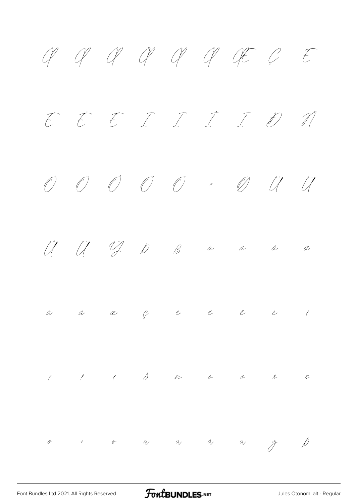À Á Â Ã Ä Å Æ Ç È É Ê Ë Ì Í Î Ï Ð Ñ Ò Ó Ô Õ Ö × Ø Ù Ú Û Ü Ý Þ ß à á â ã ä å æ ç è é ê ë ì í î ï ð ñ ò ó ô õ ö ÷ ø ù ú û ü ý þ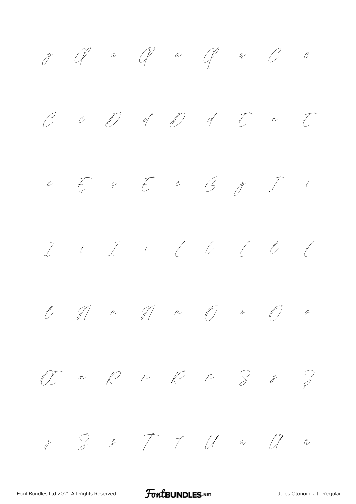

[Font Bundles Ltd 2021. All Rights Reserved](https://fontbundles.net/) **FoutBUNDLES.NET** [Jules Otonomi alt - Regular](https://fontbundles.net/)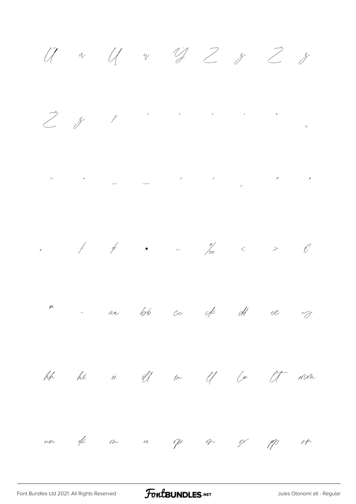$\ddot{U}$  a  $U$  or  $\dddot{U}$   $Z$   $z$   $\ddot{Z}$   $z$  $\begin{array}{c} \mathcal{P} & \mathcal{P} \\ \mathcal{P} & \mathcal{P} \end{array}$  $\begin{aligned} \mathcal{N}_{\text{max}}(\mathcal{N}_{\text{max}}) = \mathcal{N}_{\text{max}}(\mathcal{N}_{\text{max}}) \end{aligned}$ m - an lots co of old el v hh hi i iff in if fo it non un of ou or of or ox pp rp

FontBUNDLES.NET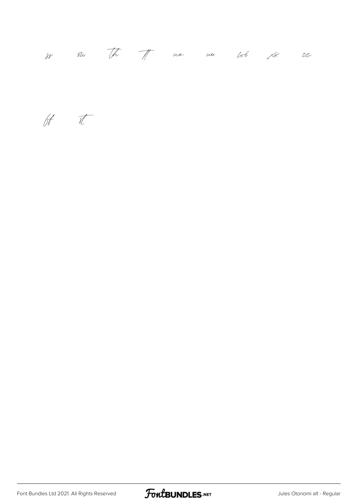|  |  |  | $\frac{1}{88}$ $\frac{1}{80}$ $\frac{1}{10}$ $\frac{1}{10}$ $\frac{1}{10}$ $\frac{1}{10}$ $\frac{1}{10}$ $\frac{1}{10}$ $\frac{1}{10}$ $\frac{1}{10}$ $\frac{1}{10}$ $\frac{1}{10}$ $\frac{1}{10}$ $\frac{1}{10}$ $\frac{1}{10}$ $\frac{1}{10}$ $\frac{1}{10}$ $\frac{1}{10}$ $\frac{1}{10}$ $\frac{1}{10}$ |  |  |  |  |  |
|--|--|--|-------------------------------------------------------------------------------------------------------------------------------------------------------------------------------------------------------------------------------------------------------------------------------------------------------------|--|--|--|--|--|
|--|--|--|-------------------------------------------------------------------------------------------------------------------------------------------------------------------------------------------------------------------------------------------------------------------------------------------------------------|--|--|--|--|--|

 $66$ 

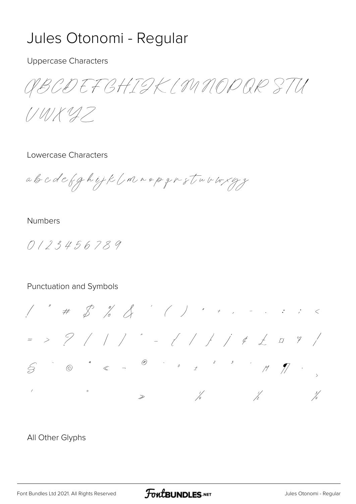## Jules Otonomi - Regular

#### **Uppercase Characters**

ABCDEF GHIGK (MNODOR STU

 $1/4/11/47$ 

#### Lowercase Characters

abcdefghijk (mnopgrstnvwsygg

#### **Numbers**

 $0123456789$ 

#### Punctuation and Symbols



#### All Other Glyphs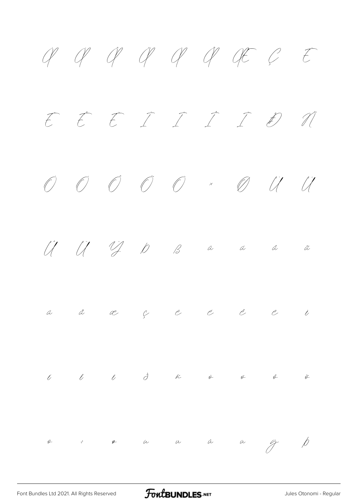À Á Â Ã Ä Å Æ Ç È É Ê Ë Ì Í Î Ï Ð Ñ  $O$   $O$   $O$   $O$   $\times$   $O$   $U$   $U$ Û Ü Ý Þ ß à á â ã ä å æ ç è é ê ë ì  $\ell$  i  $\ell$  d  $\tilde{\kappa}$  a  $\ell$  ô ö ÷ ø ù ú û ü ý þ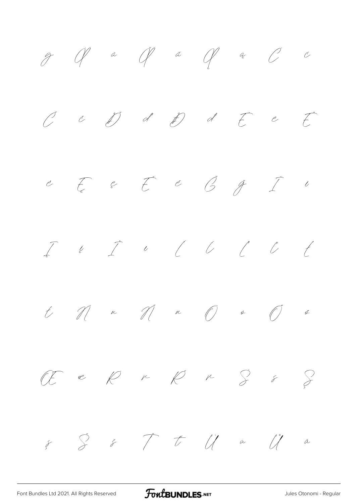

[Font Bundles Ltd 2021. All Rights Reserved](https://fontbundles.net/) **FoutBUNDLES.NET** [Jules Otonomi - Regular](https://fontbundles.net/)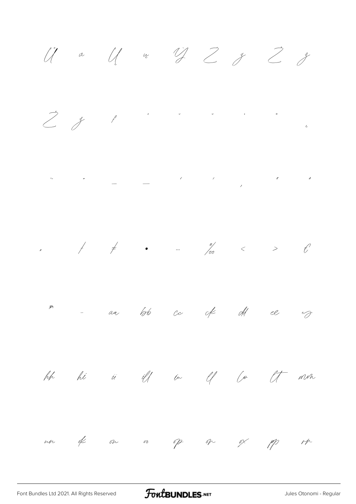$\ddot{U}$  a  $U$  w  $\dddot{U}$   $Z$   $y$   $\ddot{Z}$   $y$  $\sum_{i=1}^{n} x_i$  $\begin{aligned} \mathcal{L}_{\text{max}}(\mathcal{L}_{\text{max}}) = \mathcal{L}_{\text{max}}(\mathcal{L}_{\text{max}}) \end{aligned}$ m - aa loto ce of old ee eg hh hi is iff in If for It min un of ou or of or ox pp rp